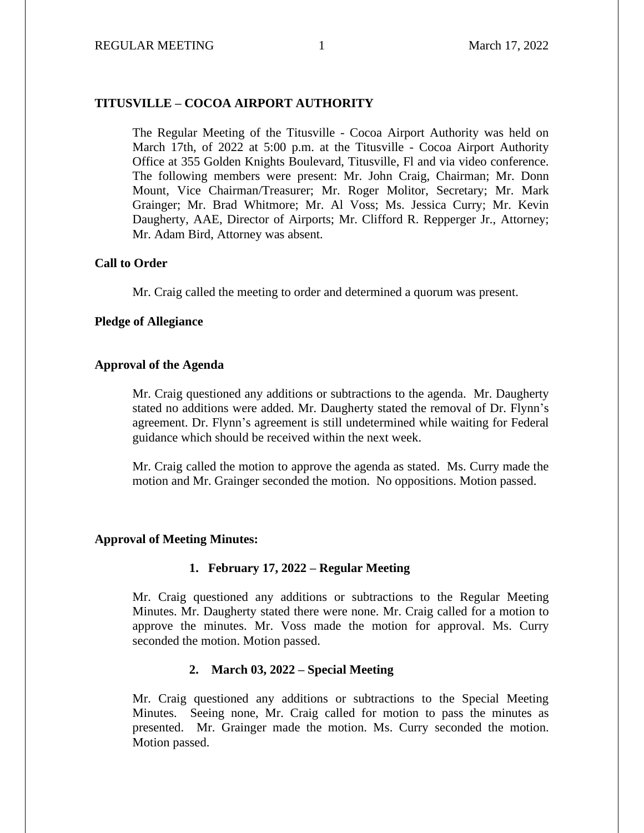## **TITUSVILLE – COCOA AIRPORT AUTHORITY**

The Regular Meeting of the Titusville - Cocoa Airport Authority was held on March 17th, of 2022 at 5:00 p.m. at the Titusville - Cocoa Airport Authority Office at 355 Golden Knights Boulevard, Titusville, Fl and via video conference. The following members were present: Mr. John Craig, Chairman; Mr. Donn Mount, Vice Chairman/Treasurer; Mr. Roger Molitor, Secretary; Mr. Mark Grainger; Mr. Brad Whitmore; Mr. Al Voss; Ms. Jessica Curry; Mr. Kevin Daugherty, AAE, Director of Airports; Mr. Clifford R. Repperger Jr., Attorney; Mr. Adam Bird, Attorney was absent.

### **Call to Order**

Mr. Craig called the meeting to order and determined a quorum was present.

### **Pledge of Allegiance**

### **Approval of the Agenda**

Mr. Craig questioned any additions or subtractions to the agenda. Mr. Daugherty stated no additions were added. Mr. Daugherty stated the removal of Dr. Flynn's agreement. Dr. Flynn's agreement is still undetermined while waiting for Federal guidance which should be received within the next week.

Mr. Craig called the motion to approve the agenda as stated. Ms. Curry made the motion and Mr. Grainger seconded the motion. No oppositions. Motion passed.

### **Approval of Meeting Minutes:**

### **1. February 17, 2022 – Regular Meeting**

Mr. Craig questioned any additions or subtractions to the Regular Meeting Minutes. Mr. Daugherty stated there were none. Mr. Craig called for a motion to approve the minutes. Mr. Voss made the motion for approval. Ms. Curry seconded the motion. Motion passed.

#### **2. March 03, 2022 – Special Meeting**

Mr. Craig questioned any additions or subtractions to the Special Meeting Minutes. Seeing none, Mr. Craig called for motion to pass the minutes as presented. Mr. Grainger made the motion. Ms. Curry seconded the motion. Motion passed.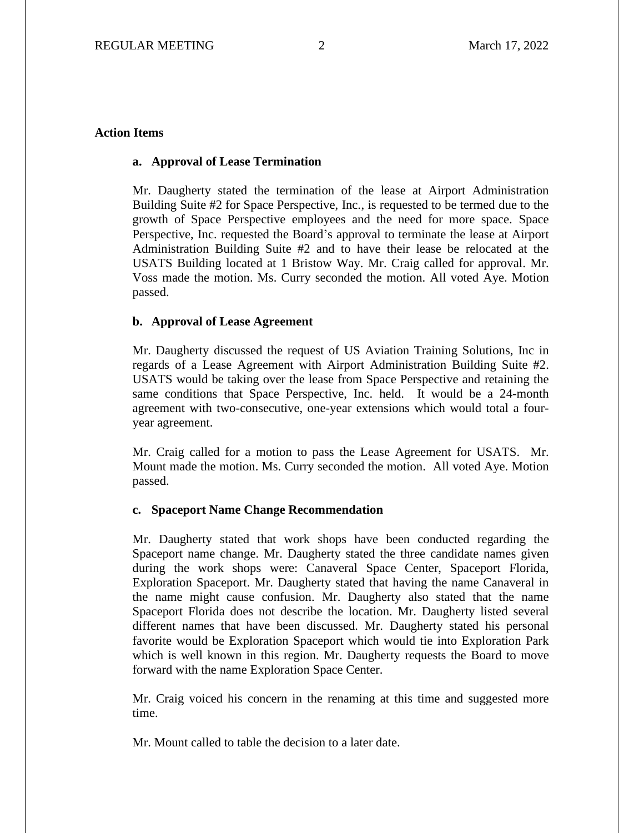## **Action Items**

## **a. Approval of Lease Termination**

Mr. Daugherty stated the termination of the lease at Airport Administration Building Suite #2 for Space Perspective, Inc., is requested to be termed due to the growth of Space Perspective employees and the need for more space. Space Perspective, Inc. requested the Board's approval to terminate the lease at Airport Administration Building Suite #2 and to have their lease be relocated at the USATS Building located at 1 Bristow Way. Mr. Craig called for approval. Mr. Voss made the motion. Ms. Curry seconded the motion. All voted Aye. Motion passed.

### **b. Approval of Lease Agreement**

Mr. Daugherty discussed the request of US Aviation Training Solutions, Inc in regards of a Lease Agreement with Airport Administration Building Suite #2. USATS would be taking over the lease from Space Perspective and retaining the same conditions that Space Perspective, Inc. held. It would be a 24-month agreement with two-consecutive, one-year extensions which would total a fouryear agreement.

Mr. Craig called for a motion to pass the Lease Agreement for USATS. Mr. Mount made the motion. Ms. Curry seconded the motion. All voted Aye. Motion passed.

#### **c. Spaceport Name Change Recommendation**

Mr. Daugherty stated that work shops have been conducted regarding the Spaceport name change. Mr. Daugherty stated the three candidate names given during the work shops were: Canaveral Space Center, Spaceport Florida, Exploration Spaceport. Mr. Daugherty stated that having the name Canaveral in the name might cause confusion. Mr. Daugherty also stated that the name Spaceport Florida does not describe the location. Mr. Daugherty listed several different names that have been discussed. Mr. Daugherty stated his personal favorite would be Exploration Spaceport which would tie into Exploration Park which is well known in this region. Mr. Daugherty requests the Board to move forward with the name Exploration Space Center.

Mr. Craig voiced his concern in the renaming at this time and suggested more time.

Mr. Mount called to table the decision to a later date.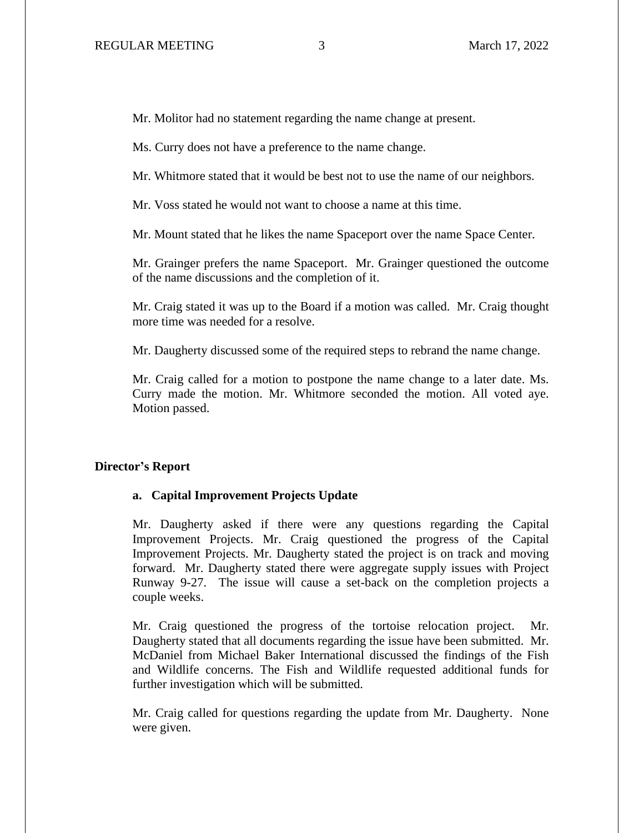Mr. Molitor had no statement regarding the name change at present.

Ms. Curry does not have a preference to the name change.

Mr. Whitmore stated that it would be best not to use the name of our neighbors.

Mr. Voss stated he would not want to choose a name at this time.

Mr. Mount stated that he likes the name Spaceport over the name Space Center.

Mr. Grainger prefers the name Spaceport. Mr. Grainger questioned the outcome of the name discussions and the completion of it.

Mr. Craig stated it was up to the Board if a motion was called. Mr. Craig thought more time was needed for a resolve.

Mr. Daugherty discussed some of the required steps to rebrand the name change.

Mr. Craig called for a motion to postpone the name change to a later date. Ms. Curry made the motion. Mr. Whitmore seconded the motion. All voted aye. Motion passed.

#### **Director's Report**

#### **a. Capital Improvement Projects Update**

Mr. Daugherty asked if there were any questions regarding the Capital Improvement Projects. Mr. Craig questioned the progress of the Capital Improvement Projects. Mr. Daugherty stated the project is on track and moving forward. Mr. Daugherty stated there were aggregate supply issues with Project Runway 9-27. The issue will cause a set-back on the completion projects a couple weeks.

Mr. Craig questioned the progress of the tortoise relocation project. Mr. Daugherty stated that all documents regarding the issue have been submitted. Mr. McDaniel from Michael Baker International discussed the findings of the Fish and Wildlife concerns. The Fish and Wildlife requested additional funds for further investigation which will be submitted.

Mr. Craig called for questions regarding the update from Mr. Daugherty. None were given.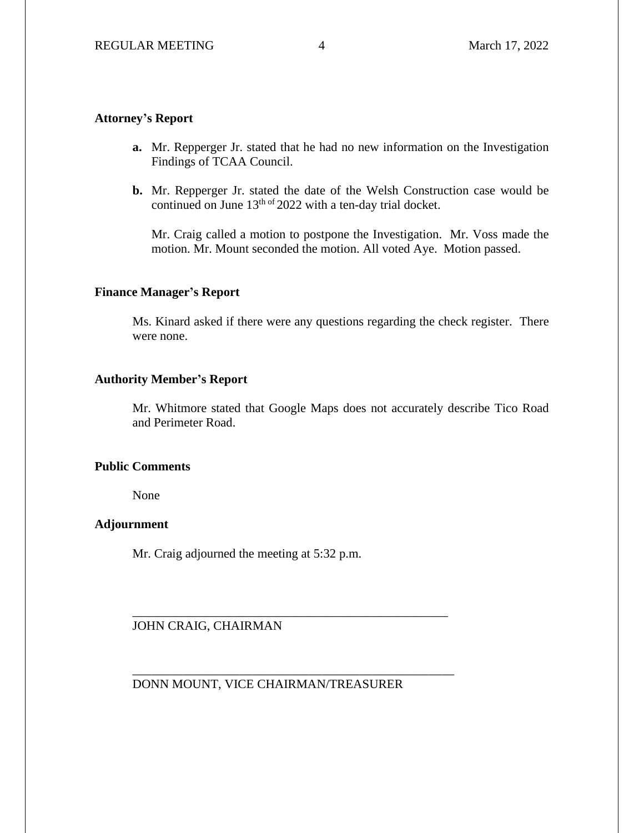# **Attorney's Report**

- **a.** Mr. Repperger Jr. stated that he had no new information on the Investigation Findings of TCAA Council.
- **b.** Mr. Repperger Jr. stated the date of the Welsh Construction case would be continued on June  $13^{th}$  of 2022 with a ten-day trial docket.

Mr. Craig called a motion to postpone the Investigation. Mr. Voss made the motion. Mr. Mount seconded the motion. All voted Aye. Motion passed.

## **Finance Manager's Report**

Ms. Kinard asked if there were any questions regarding the check register. There were none.

## **Authority Member's Report**

Mr. Whitmore stated that Google Maps does not accurately describe Tico Road and Perimeter Road.

## **Public Comments**

None

## **Adjournment**

Mr. Craig adjourned the meeting at 5:32 p.m.

JOHN CRAIG, CHAIRMAN

DONN MOUNT, VICE CHAIRMAN/TREASURER

\_\_\_\_\_\_\_\_\_\_\_\_\_\_\_\_\_\_\_\_\_\_\_\_\_\_\_\_\_\_\_\_\_\_\_\_\_\_\_\_\_\_\_\_\_\_\_\_\_\_

\_\_\_\_\_\_\_\_\_\_\_\_\_\_\_\_\_\_\_\_\_\_\_\_\_\_\_\_\_\_\_\_\_\_\_\_\_\_\_\_\_\_\_\_\_\_\_\_\_\_\_